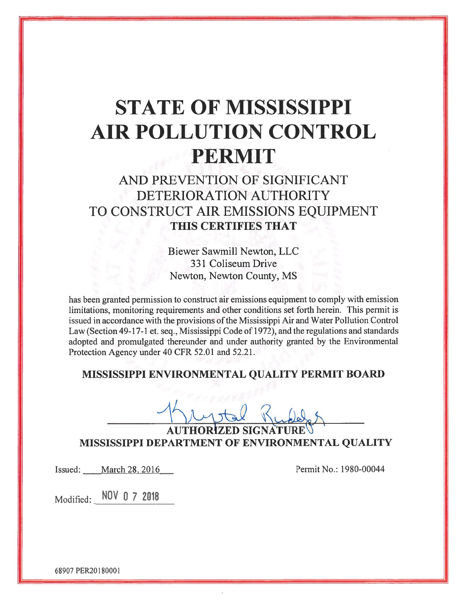# **STATE OF MISSISSIPPI AIR POLLUTION CONTROL PERMIT**

AND PREVENTION OF SIGNIFICANT DETERIORATION AUTHORITY TO CONSTRUCT AIR EMISSIONS EQUIPMENT THIS CERTIFIES THAT

> Biewer Sawmill Newton, LLC 331 Coliseum Drive Newton, Newton County, MS

has been granted permission to construct air emissions equipment to comply with emission limitations, monitoring requirements and other conditions set forth herein. This permit is issued in accordance with the provisions of the Mississippi Air and Water Pollution Control Law (Section 49-17-1 et. seq., Mississippi Code of 1972), and the regulations and standards adopted and promulgated thereunder and under authority granted by the Environmental Protection Agency under 40 CFR 52.01 and 52.21.

# MISSISSIPPI ENVIRONMENTAL QUALITY PERMIT BOARD

MISSISSIPPI DEPARTMENT OF ENVIRONMENTAL OUALITY

 $Issued:$  March 28, 2016

Permit No.: 1980-00044

Modified: NOV 0 7 2018

68907 PER20180001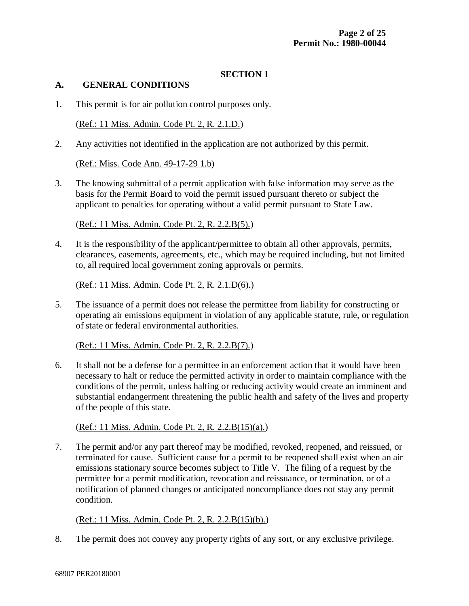#### **SECTION 1**

## **A. GENERAL CONDITIONS**

1. This permit is for air pollution control purposes only.

(Ref.: 11 Miss. Admin. Code Pt. 2, R. 2.1.D.)

2. Any activities not identified in the application are not authorized by this permit.

(Ref.: Miss. Code Ann. 49-17-29 1.b)

3. The knowing submittal of a permit application with false information may serve as the basis for the Permit Board to void the permit issued pursuant thereto or subject the applicant to penalties for operating without a valid permit pursuant to State Law.

(Ref.: 11 Miss. Admin. Code Pt. 2, R. 2.2.B(5).)

4. It is the responsibility of the applicant/permittee to obtain all other approvals, permits, clearances, easements, agreements, etc., which may be required including, but not limited to, all required local government zoning approvals or permits.

(Ref.: 11 Miss. Admin. Code Pt. 2, R. 2.1.D(6).)

5. The issuance of a permit does not release the permittee from liability for constructing or operating air emissions equipment in violation of any applicable statute, rule, or regulation of state or federal environmental authorities.

(Ref.: 11 Miss. Admin. Code Pt. 2, R. 2.2.B(7).)

6. It shall not be a defense for a permittee in an enforcement action that it would have been necessary to halt or reduce the permitted activity in order to maintain compliance with the conditions of the permit, unless halting or reducing activity would create an imminent and substantial endangerment threatening the public health and safety of the lives and property of the people of this state.

(Ref.: 11 Miss. Admin. Code Pt. 2, R. 2.2.B(15)(a).)

7. The permit and/or any part thereof may be modified, revoked, reopened, and reissued, or terminated for cause. Sufficient cause for a permit to be reopened shall exist when an air emissions stationary source becomes subject to Title V. The filing of a request by the permittee for a permit modification, revocation and reissuance, or termination, or of a notification of planned changes or anticipated noncompliance does not stay any permit condition.

(Ref.: 11 Miss. Admin. Code Pt. 2, R. 2.2.B(15)(b).)

8. The permit does not convey any property rights of any sort, or any exclusive privilege.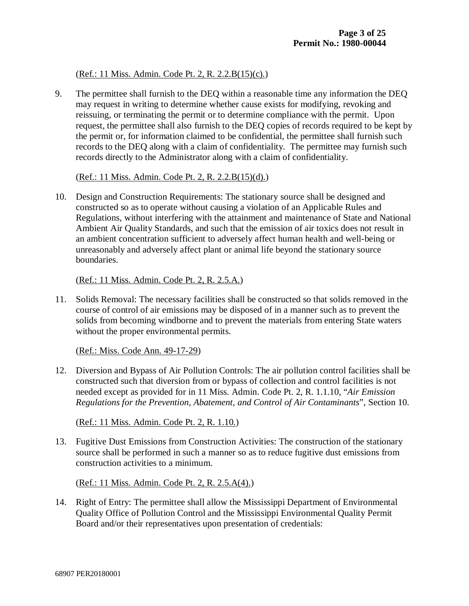## (Ref.: 11 Miss. Admin. Code Pt. 2, R. 2.2.B(15)(c).)

9. The permittee shall furnish to the DEQ within a reasonable time any information the DEQ may request in writing to determine whether cause exists for modifying, revoking and reissuing, or terminating the permit or to determine compliance with the permit. Upon request, the permittee shall also furnish to the DEQ copies of records required to be kept by the permit or, for information claimed to be confidential, the permittee shall furnish such records to the DEQ along with a claim of confidentiality. The permittee may furnish such records directly to the Administrator along with a claim of confidentiality.

#### (Ref.: 11 Miss. Admin. Code Pt. 2, R. 2.2.B(15)(d).)

10. Design and Construction Requirements: The stationary source shall be designed and constructed so as to operate without causing a violation of an Applicable Rules and Regulations, without interfering with the attainment and maintenance of State and National Ambient Air Quality Standards, and such that the emission of air toxics does not result in an ambient concentration sufficient to adversely affect human health and well-being or unreasonably and adversely affect plant or animal life beyond the stationary source boundaries.

(Ref.: 11 Miss. Admin. Code Pt. 2, R. 2.5.A.)

11. Solids Removal: The necessary facilities shall be constructed so that solids removed in the course of control of air emissions may be disposed of in a manner such as to prevent the solids from becoming windborne and to prevent the materials from entering State waters without the proper environmental permits.

(Ref.: Miss. Code Ann. 49-17-29)

12. Diversion and Bypass of Air Pollution Controls: The air pollution control facilities shall be constructed such that diversion from or bypass of collection and control facilities is not needed except as provided for in 11 Miss. Admin. Code Pt. 2, R. 1.1.10, "*Air Emission Regulations for the Prevention, Abatement, and Control of Air Contaminants*", Section 10.

(Ref.: 11 Miss. Admin. Code Pt. 2, R. 1.10.)

13. Fugitive Dust Emissions from Construction Activities: The construction of the stationary source shall be performed in such a manner so as to reduce fugitive dust emissions from construction activities to a minimum.

(Ref.: 11 Miss. Admin. Code Pt. 2, R. 2.5.A(4).)

14. Right of Entry: The permittee shall allow the Mississippi Department of Environmental Quality Office of Pollution Control and the Mississippi Environmental Quality Permit Board and/or their representatives upon presentation of credentials: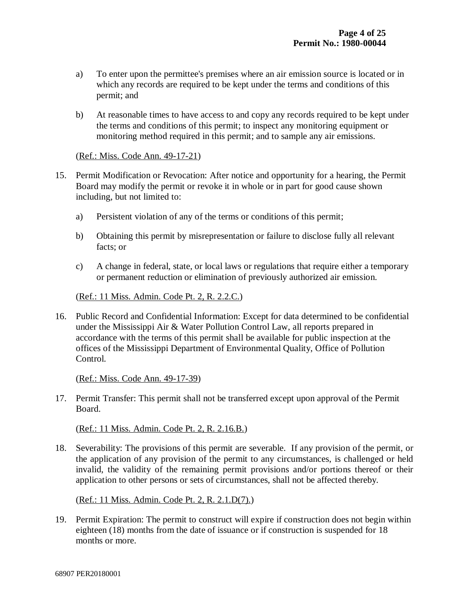- a) To enter upon the permittee's premises where an air emission source is located or in which any records are required to be kept under the terms and conditions of this permit; and
- b) At reasonable times to have access to and copy any records required to be kept under the terms and conditions of this permit; to inspect any monitoring equipment or monitoring method required in this permit; and to sample any air emissions.

#### (Ref.: Miss. Code Ann. 49-17-21)

- 15. Permit Modification or Revocation: After notice and opportunity for a hearing, the Permit Board may modify the permit or revoke it in whole or in part for good cause shown including, but not limited to:
	- a) Persistent violation of any of the terms or conditions of this permit;
	- b) Obtaining this permit by misrepresentation or failure to disclose fully all relevant facts; or
	- c) A change in federal, state, or local laws or regulations that require either a temporary or permanent reduction or elimination of previously authorized air emission.

#### (Ref.: 11 Miss. Admin. Code Pt. 2, R. 2.2.C.)

16. Public Record and Confidential Information: Except for data determined to be confidential under the Mississippi Air & Water Pollution Control Law, all reports prepared in accordance with the terms of this permit shall be available for public inspection at the offices of the Mississippi Department of Environmental Quality, Office of Pollution Control.

(Ref.: Miss. Code Ann. 49-17-39)

17. Permit Transfer: This permit shall not be transferred except upon approval of the Permit Board.

(Ref.: 11 Miss. Admin. Code Pt. 2, R. 2.16.B.)

18. Severability: The provisions of this permit are severable. If any provision of the permit, or the application of any provision of the permit to any circumstances, is challenged or held invalid, the validity of the remaining permit provisions and/or portions thereof or their application to other persons or sets of circumstances, shall not be affected thereby.

(Ref.: 11 Miss. Admin. Code Pt. 2, R. 2.1.D(7).)

19. Permit Expiration: The permit to construct will expire if construction does not begin within eighteen (18) months from the date of issuance or if construction is suspended for 18 months or more.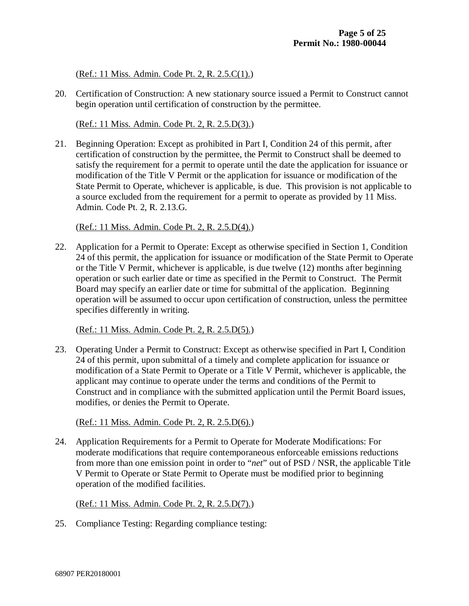(Ref.: 11 Miss. Admin. Code Pt. 2, R. 2.5.C(1).)

20. Certification of Construction: A new stationary source issued a Permit to Construct cannot begin operation until certification of construction by the permittee.

(Ref.: 11 Miss. Admin. Code Pt. 2, R. 2.5.D(3).)

21. Beginning Operation: Except as prohibited in Part I, Condition 24 of this permit, after certification of construction by the permittee, the Permit to Construct shall be deemed to satisfy the requirement for a permit to operate until the date the application for issuance or modification of the Title V Permit or the application for issuance or modification of the State Permit to Operate, whichever is applicable, is due. This provision is not applicable to a source excluded from the requirement for a permit to operate as provided by 11 Miss. Admin. Code Pt. 2, R. 2.13.G.

(Ref.: 11 Miss. Admin. Code Pt. 2, R. 2.5.D(4).)

22. Application for a Permit to Operate: Except as otherwise specified in Section 1, Condition 24 of this permit, the application for issuance or modification of the State Permit to Operate or the Title V Permit, whichever is applicable, is due twelve (12) months after beginning operation or such earlier date or time as specified in the Permit to Construct. The Permit Board may specify an earlier date or time for submittal of the application. Beginning operation will be assumed to occur upon certification of construction, unless the permittee specifies differently in writing.

(Ref.: 11 Miss. Admin. Code Pt. 2, R. 2.5.D(5).)

23. Operating Under a Permit to Construct: Except as otherwise specified in Part I, Condition 24 of this permit, upon submittal of a timely and complete application for issuance or modification of a State Permit to Operate or a Title V Permit, whichever is applicable, the applicant may continue to operate under the terms and conditions of the Permit to Construct and in compliance with the submitted application until the Permit Board issues, modifies, or denies the Permit to Operate.

(Ref.: 11 Miss. Admin. Code Pt. 2, R. 2.5.D(6).)

24. Application Requirements for a Permit to Operate for Moderate Modifications: For moderate modifications that require contemporaneous enforceable emissions reductions from more than one emission point in order to "*net*" out of PSD / NSR, the applicable Title V Permit to Operate or State Permit to Operate must be modified prior to beginning operation of the modified facilities.

(Ref.: 11 Miss. Admin. Code Pt. 2, R. 2.5.D(7).)

25. Compliance Testing: Regarding compliance testing: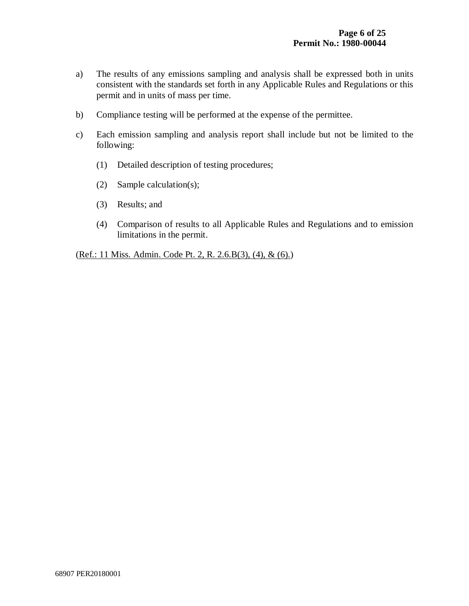- a) The results of any emissions sampling and analysis shall be expressed both in units consistent with the standards set forth in any Applicable Rules and Regulations or this permit and in units of mass per time.
- b) Compliance testing will be performed at the expense of the permittee.
- c) Each emission sampling and analysis report shall include but not be limited to the following:
	- (1) Detailed description of testing procedures;
	- (2) Sample calculation(s);
	- (3) Results; and
	- (4) Comparison of results to all Applicable Rules and Regulations and to emission limitations in the permit.

(Ref.: 11 Miss. Admin. Code Pt. 2, R. 2.6.B(3), (4), & (6).)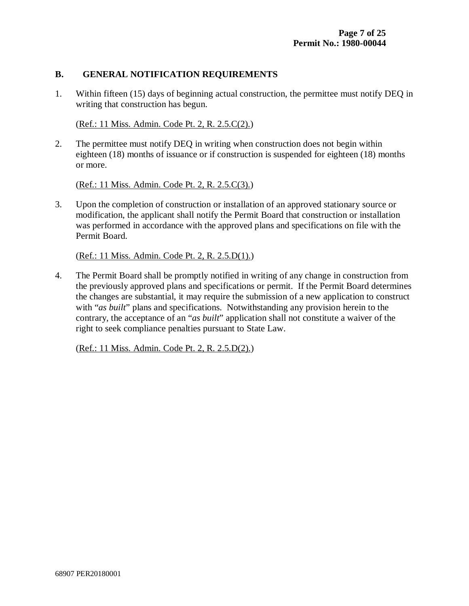#### **B. GENERAL NOTIFICATION REQUIREMENTS**

1. Within fifteen (15) days of beginning actual construction, the permittee must notify DEQ in writing that construction has begun.

(Ref.: 11 Miss. Admin. Code Pt. 2, R. 2.5.C(2).)

2. The permittee must notify DEQ in writing when construction does not begin within eighteen (18) months of issuance or if construction is suspended for eighteen (18) months or more.

(Ref.: 11 Miss. Admin. Code Pt. 2, R. 2.5.C(3).)

3. Upon the completion of construction or installation of an approved stationary source or modification, the applicant shall notify the Permit Board that construction or installation was performed in accordance with the approved plans and specifications on file with the Permit Board.

(Ref.: 11 Miss. Admin. Code Pt. 2, R. 2.5.D(1).)

4. The Permit Board shall be promptly notified in writing of any change in construction from the previously approved plans and specifications or permit. If the Permit Board determines the changes are substantial, it may require the submission of a new application to construct with "*as built*" plans and specifications. Notwithstanding any provision herein to the contrary, the acceptance of an "*as built*" application shall not constitute a waiver of the right to seek compliance penalties pursuant to State Law.

(Ref.: 11 Miss. Admin. Code Pt. 2, R. 2.5.D(2).)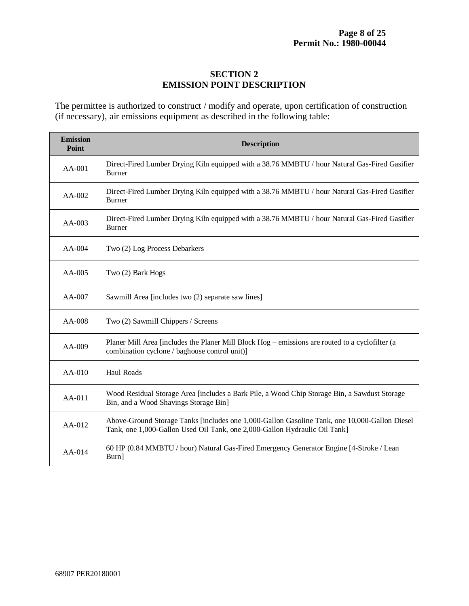## **SECTION 2 EMISSION POINT DESCRIPTION**

The permittee is authorized to construct / modify and operate, upon certification of construction (if necessary), air emissions equipment as described in the following table:

| <b>Emission</b><br>Point | <b>Description</b>                                                                                                                                                          |  |  |
|--------------------------|-----------------------------------------------------------------------------------------------------------------------------------------------------------------------------|--|--|
| $AA-001$                 | Direct-Fired Lumber Drying Kiln equipped with a 38.76 MMBTU / hour Natural Gas-Fired Gasifier<br><b>Burner</b>                                                              |  |  |
| $AA-002$                 | Direct-Fired Lumber Drying Kiln equipped with a 38.76 MMBTU / hour Natural Gas-Fired Gasifier<br><b>Burner</b>                                                              |  |  |
| $AA-003$                 | Direct-Fired Lumber Drying Kiln equipped with a 38.76 MMBTU / hour Natural Gas-Fired Gasifier<br><b>Burner</b>                                                              |  |  |
| $AA-004$                 | Two (2) Log Process Debarkers                                                                                                                                               |  |  |
| $AA-005$                 | Two (2) Bark Hogs                                                                                                                                                           |  |  |
| $AA-007$                 | Sawmill Area [includes two (2) separate saw lines]                                                                                                                          |  |  |
| AA-008                   | Two (2) Sawmill Chippers / Screens                                                                                                                                          |  |  |
| $AA-009$                 | Planer Mill Area [includes the Planer Mill Block Hog – emissions are routed to a cyclofilter (a<br>combination cyclone / baghouse control unit)]                            |  |  |
| AA-010                   | Haul Roads                                                                                                                                                                  |  |  |
| $AA-011$                 | Wood Residual Storage Area [includes a Bark Pile, a Wood Chip Storage Bin, a Sawdust Storage<br>Bin, and a Wood Shavings Storage Bin]                                       |  |  |
| AA-012                   | Above-Ground Storage Tanks [includes one 1,000-Gallon Gasoline Tank, one 10,000-Gallon Diesel<br>Tank, one 1,000-Gallon Used Oil Tank, one 2,000-Gallon Hydraulic Oil Tank] |  |  |
| AA-014                   | 60 HP (0.84 MMBTU / hour) Natural Gas-Fired Emergency Generator Engine [4-Stroke / Lean<br>Burn]                                                                            |  |  |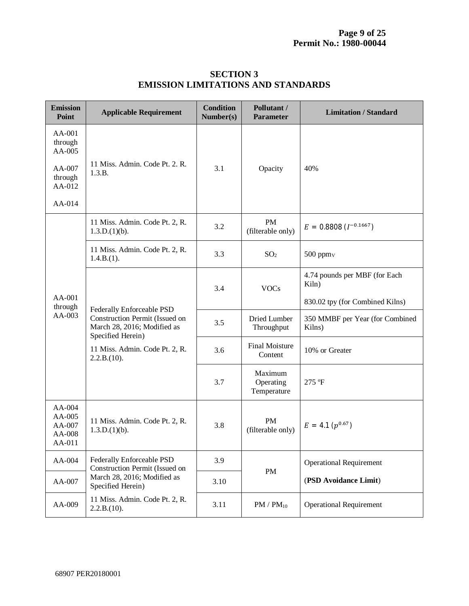| <b>Emission</b><br>Point                                             | <b>Applicable Requirement</b>                                                                                                                                    | <b>Condition</b><br>Number(s) | Pollutant /<br><b>Parameter</b>     | <b>Limitation / Standard</b>                                              |
|----------------------------------------------------------------------|------------------------------------------------------------------------------------------------------------------------------------------------------------------|-------------------------------|-------------------------------------|---------------------------------------------------------------------------|
| AA-001<br>through<br>AA-005<br>AA-007<br>through<br>AA-012<br>AA-014 | 11 Miss. Admin. Code Pt. 2. R.<br>1.3.B.                                                                                                                         | 3.1                           | Opacity                             | 40%                                                                       |
| AA-001<br>through<br>AA-003                                          | 11 Miss. Admin. Code Pt. 2, R.<br>1.3.D.(1)(b).                                                                                                                  | 3.2                           | PM<br>(filterable only)             | $E = 0.8808 (I^{-0.1667})$                                                |
|                                                                      | 11 Miss. Admin. Code Pt. 2, R.<br>1.4.B.(1).                                                                                                                     | 3.3                           | SO <sub>2</sub>                     | $500$ ppm <sub>v</sub>                                                    |
|                                                                      | Federally Enforceable PSD<br>Construction Permit (Issued on<br>March 28, 2016; Modified as<br>Specified Herein)<br>11 Miss. Admin. Code Pt. 2, R.<br>2.2.B.(10). | 3.4                           | <b>VOCs</b>                         | 4.74 pounds per MBF (for Each<br>Kiln)<br>830.02 tpy (for Combined Kilns) |
|                                                                      |                                                                                                                                                                  | 3.5                           | Dried Lumber<br>Throughput          | 350 MMBF per Year (for Combined<br>Kilns)                                 |
|                                                                      |                                                                                                                                                                  | 3.6                           | <b>Final Moisture</b><br>Content    | 10% or Greater                                                            |
|                                                                      |                                                                                                                                                                  | 3.7                           | Maximum<br>Operating<br>Temperature | 275 °F                                                                    |
| AA-004<br>AA-005<br>AA-007<br>AA-008<br>AA-011                       | 11 Miss. Admin. Code Pt. 2, R.<br>1.3.D.(1)(b).                                                                                                                  | 3.8                           | <b>PM</b><br>(filterable only)      | $E = 4.1 (p^{0.67})$                                                      |
| AA-004                                                               | Federally Enforceable PSD<br>Construction Permit (Issued on<br>March 28, 2016; Modified as<br>Specified Herein)                                                  | 3.9                           | PM                                  | <b>Operational Requirement</b>                                            |
| AA-007                                                               |                                                                                                                                                                  | 3.10                          |                                     | (PSD Avoidance Limit)                                                     |
| AA-009                                                               | 11 Miss. Admin. Code Pt. 2, R.<br>2.2.B.(10).                                                                                                                    | 3.11                          | $PM / PM_{10}$                      | <b>Operational Requirement</b>                                            |

# **SECTION 3 EMISSION LIMITATIONS AND STANDARDS**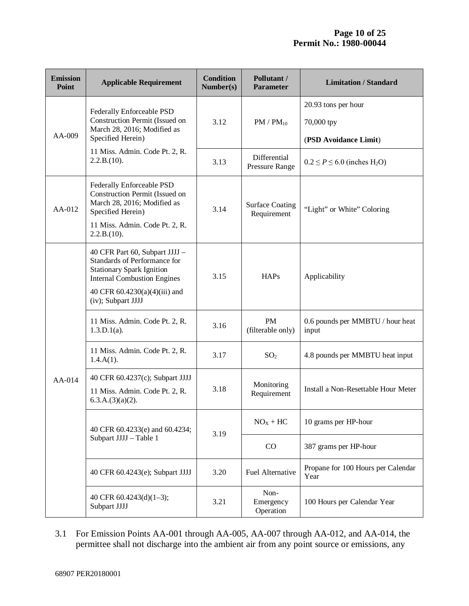| <b>Emission</b><br>Point | <b>Applicable Requirement</b>                                                                                                                                                                   | <b>Condition</b><br>Number(s) | Pollutant /<br><b>Parameter</b>       | <b>Limitation / Standard</b>                               |
|--------------------------|-------------------------------------------------------------------------------------------------------------------------------------------------------------------------------------------------|-------------------------------|---------------------------------------|------------------------------------------------------------|
| AA-009                   | Federally Enforceable PSD<br>Construction Permit (Issued on<br>March 28, 2016; Modified as<br>Specified Herein)<br>11 Miss. Admin. Code Pt. 2, R.<br>2.2.B.(10).                                | 3.12                          | $PM / PM_{10}$                        | 20.93 tons per hour<br>70,000 tpy<br>(PSD Avoidance Limit) |
|                          |                                                                                                                                                                                                 | 3.13                          | Differential<br>Pressure Range        | $0.2 \le P \le 6.0$ (inches H <sub>2</sub> O)              |
| AA-012                   | Federally Enforceable PSD<br>Construction Permit (Issued on<br>March 28, 2016; Modified as<br>Specified Herein)<br>11 Miss. Admin. Code Pt. 2, R.<br>2.2.B.(10).                                | 3.14                          | <b>Surface Coating</b><br>Requirement | "Light" or White" Coloring                                 |
| $AA-014$                 | 40 CFR Part 60, Subpart JJJJ -<br>Standards of Performance for<br><b>Stationary Spark Ignition</b><br><b>Internal Combustion Engines</b><br>40 CFR 60.4230(a)(4)(iii) and<br>(iv); Subpart JJJJ | 3.15                          | HAPs                                  | Applicability                                              |
|                          | 11 Miss. Admin. Code Pt. 2, R.<br>$1.3.D.1(a)$ .                                                                                                                                                | 3.16                          | <b>PM</b><br>(filterable only)        | 0.6 pounds per MMBTU / hour heat<br>input                  |
|                          | 11 Miss. Admin. Code Pt. 2, R.<br>$1.4.A(1)$ .                                                                                                                                                  | 3.17                          | SO <sub>2</sub>                       | 4.8 pounds per MMBTU heat input                            |
|                          | 40 CFR 60.4237(c); Subpart JJJJ<br>11 Miss. Admin. Code Pt. 2, R.<br>6.3.A.(3)(a)(2).                                                                                                           | 3.18                          | Monitoring<br>Requirement             | Install a Non-Resettable Hour Meter                        |
|                          | 40 CFR 60.4233(e) and 60.4234;<br>Subpart JJJJ - Table 1                                                                                                                                        | 3.19                          | $NOX + HC$                            | 10 grams per HP-hour                                       |
|                          |                                                                                                                                                                                                 |                               | $\rm CO$                              | 387 grams per HP-hour                                      |
|                          | 40 CFR 60.4243(e); Subpart JJJJ                                                                                                                                                                 | 3.20                          | Fuel Alternative                      | Propane for 100 Hours per Calendar<br>Year                 |
|                          | 40 CFR 60.4243(d)(1-3);<br>Subpart JJJJ                                                                                                                                                         | 3.21                          | Non-<br>Emergency<br>Operation        | 100 Hours per Calendar Year                                |

3.1 For Emission Points AA-001 through AA-005, AA-007 through AA-012, and AA-014, the permittee shall not discharge into the ambient air from any point source or emissions, any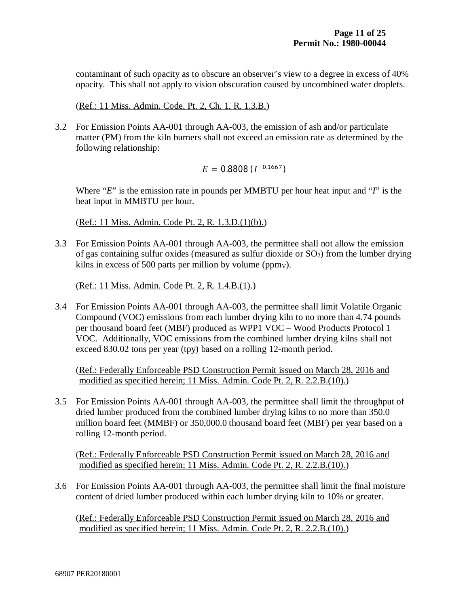contaminant of such opacity as to obscure an observer's view to a degree in excess of 40% opacity. This shall not apply to vision obscuration caused by uncombined water droplets.

(Ref.: 11 Miss. Admin. Code, Pt. 2, Ch. 1, R. 1.3.B.)

3.2 For Emission Points AA-001 through AA-003, the emission of ash and/or particulate matter (PM) from the kiln burners shall not exceed an emission rate as determined by the following relationship:

$$
E = 0.8808 (I^{-0.1667})
$$

Where "*E*" is the emission rate in pounds per MMBTU per hour heat input and "*I*" is the heat input in MMBTU per hour.

(Ref.: 11 Miss. Admin. Code Pt. 2, R. 1.3.D.(1)(b).)

3.3 For Emission Points AA-001 through AA-003, the permittee shall not allow the emission of gas containing sulfur oxides (measured as sulfur dioxide or  $SO<sub>2</sub>$ ) from the lumber drying kilns in excess of 500 parts per million by volume ( $ppm<sub>V</sub>$ ).

(Ref.: 11 Miss. Admin. Code Pt. 2, R. 1.4.B.(1).)

3.4 For Emission Points AA-001 through AA-003, the permittee shall limit Volatile Organic Compound (VOC) emissions from each lumber drying kiln to no more than 4.74 pounds per thousand board feet (MBF) produced as WPP1 VOC – Wood Products Protocol 1 VOC. Additionally, VOC emissions from the combined lumber drying kilns shall not exceed 830.02 tons per year (tpy) based on a rolling 12-month period.

(Ref.: Federally Enforceable PSD Construction Permit issued on March 28, 2016 and modified as specified herein; 11 Miss. Admin. Code Pt. 2, R. 2.2.B.(10).)

3.5 For Emission Points AA-001 through AA-003, the permittee shall limit the throughput of dried lumber produced from the combined lumber drying kilns to no more than 350.0 million board feet (MMBF) or 350,000.0 thousand board feet (MBF) per year based on a rolling 12-month period.

(Ref.: Federally Enforceable PSD Construction Permit issued on March 28, 2016 and modified as specified herein; 11 Miss. Admin. Code Pt. 2, R. 2.2.B.(10).)

3.6 For Emission Points AA-001 through AA-003, the permittee shall limit the final moisture content of dried lumber produced within each lumber drying kiln to 10% or greater.

(Ref.: Federally Enforceable PSD Construction Permit issued on March 28, 2016 and modified as specified herein; 11 Miss. Admin. Code Pt. 2, R. 2.2.B.(10).)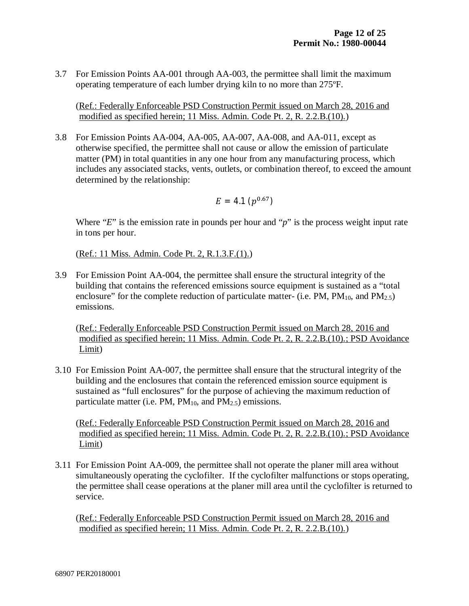3.7 For Emission Points AA-001 through AA-003, the permittee shall limit the maximum operating temperature of each lumber drying kiln to no more than 275ºF.

(Ref.: Federally Enforceable PSD Construction Permit issued on March 28, 2016 and modified as specified herein; 11 Miss. Admin. Code Pt. 2, R. 2.2.B.(10).)

3.8 For Emission Points AA-004, AA-005, AA-007, AA-008, and AA-011, except as otherwise specified, the permittee shall not cause or allow the emission of particulate matter (PM) in total quantities in any one hour from any manufacturing process, which includes any associated stacks, vents, outlets, or combination thereof, to exceed the amount determined by the relationship:

$$
E = 4.1 \; (p^{0.67})
$$

Where "*E*" is the emission rate in pounds per hour and "*p*" is the process weight input rate in tons per hour.

(Ref.: 11 Miss. Admin. Code Pt. 2, R.1.3.F.(1).)

3.9 For Emission Point AA-004, the permittee shall ensure the structural integrity of the building that contains the referenced emissions source equipment is sustained as a "total enclosure" for the complete reduction of particulate matter- (i.e. PM,  $PM_{10}$ , and  $PM_{2.5}$ ) emissions.

(Ref.: Federally Enforceable PSD Construction Permit issued on March 28, 2016 and modified as specified herein; 11 Miss. Admin. Code Pt. 2, R. 2.2.B.(10).; PSD Avoidance Limit)

3.10 For Emission Point AA-007, the permittee shall ensure that the structural integrity of the building and the enclosures that contain the referenced emission source equipment is sustained as "full enclosures" for the purpose of achieving the maximum reduction of particulate matter (i.e. PM,  $PM_{10}$ , and  $PM_{2.5}$ ) emissions.

(Ref.: Federally Enforceable PSD Construction Permit issued on March 28, 2016 and modified as specified herein; 11 Miss. Admin. Code Pt. 2, R. 2.2.B.(10).; PSD Avoidance Limit)

3.11 For Emission Point AA-009, the permittee shall not operate the planer mill area without simultaneously operating the cyclofilter. If the cyclofilter malfunctions or stops operating, the permittee shall cease operations at the planer mill area until the cyclofilter is returned to service.

(Ref.: Federally Enforceable PSD Construction Permit issued on March 28, 2016 and modified as specified herein; 11 Miss. Admin. Code Pt. 2, R. 2.2.B.(10).)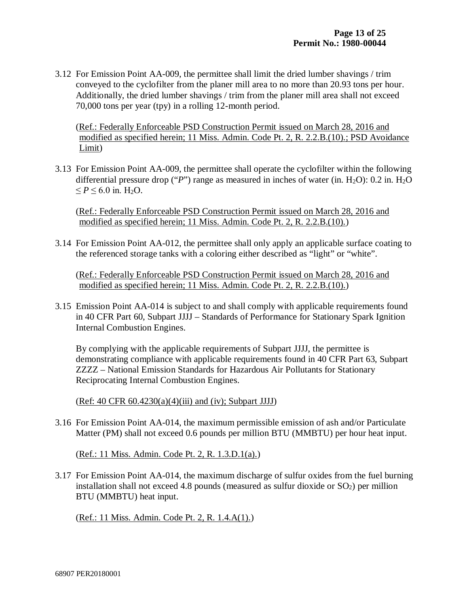3.12 For Emission Point AA-009, the permittee shall limit the dried lumber shavings / trim conveyed to the cyclofilter from the planer mill area to no more than 20.93 tons per hour. Additionally, the dried lumber shavings / trim from the planer mill area shall not exceed 70,000 tons per year (tpy) in a rolling 12-month period.

(Ref.: Federally Enforceable PSD Construction Permit issued on March 28, 2016 and modified as specified herein; 11 Miss. Admin. Code Pt. 2, R. 2.2.B.(10).; PSD Avoidance Limit)

3.13 For Emission Point AA-009, the permittee shall operate the cyclofilter within the following differential pressure drop ("*P*") range as measured in inches of water (in.  $H_2O$ ): 0.2 in.  $H_2O$  $≤ P ≤ 6.0$  in. H<sub>2</sub>O.

(Ref.: Federally Enforceable PSD Construction Permit issued on March 28, 2016 and modified as specified herein; 11 Miss. Admin. Code Pt. 2, R. 2.2.B.(10).)

3.14 For Emission Point AA-012, the permittee shall only apply an applicable surface coating to the referenced storage tanks with a coloring either described as "light" or "white".

(Ref.: Federally Enforceable PSD Construction Permit issued on March 28, 2016 and modified as specified herein; 11 Miss. Admin. Code Pt. 2, R. 2.2.B.(10).)

3.15 Emission Point AA-014 is subject to and shall comply with applicable requirements found in 40 CFR Part 60, Subpart JJJJ – Standards of Performance for Stationary Spark Ignition Internal Combustion Engines.

By complying with the applicable requirements of Subpart JJJJ, the permittee is demonstrating compliance with applicable requirements found in 40 CFR Part 63, Subpart ZZZZ – National Emission Standards for Hazardous Air Pollutants for Stationary Reciprocating Internal Combustion Engines.

 $(Ref: 40 CFR 60.4230(a)(4)(iii)$  and (iv); Subpart JJJJ)

3.16 For Emission Point AA-014, the maximum permissible emission of ash and/or Particulate Matter (PM) shall not exceed 0.6 pounds per million BTU (MMBTU) per hour heat input.

(Ref.: 11 Miss. Admin. Code Pt. 2, R. 1.3.D.1(a).)

3.17 For Emission Point AA-014, the maximum discharge of sulfur oxides from the fuel burning installation shall not exceed 4.8 pounds (measured as sulfur dioxide or  $SO<sub>2</sub>$ ) per million BTU (MMBTU) heat input.

(Ref.: 11 Miss. Admin. Code Pt. 2, R. 1.4.A(1).)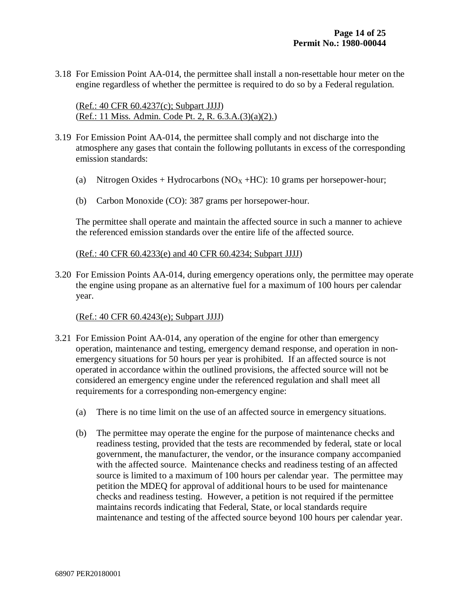3.18 For Emission Point AA-014, the permittee shall install a non-resettable hour meter on the engine regardless of whether the permittee is required to do so by a Federal regulation.

(Ref.: 40 CFR 60.4237(c); Subpart JJJJ) (Ref.: 11 Miss. Admin. Code Pt. 2, R. 6.3.A.(3)(a)(2).)

- 3.19 For Emission Point AA-014, the permittee shall comply and not discharge into the atmosphere any gases that contain the following pollutants in excess of the corresponding emission standards:
	- (a) Nitrogen Oxides + Hydrocarbons ( $NO_X$  +HC): 10 grams per horsepower-hour;
	- (b) Carbon Monoxide (CO): 387 grams per horsepower-hour.

The permittee shall operate and maintain the affected source in such a manner to achieve the referenced emission standards over the entire life of the affected source.

(Ref.: 40 CFR 60.4233(e) and 40 CFR 60.4234; Subpart JJJJ)

3.20 For Emission Points AA-014, during emergency operations only, the permittee may operate the engine using propane as an alternative fuel for a maximum of 100 hours per calendar year.

(Ref.: 40 CFR 60.4243(e); Subpart JJJJ)

- 3.21 For Emission Point AA-014, any operation of the engine for other than emergency operation, maintenance and testing, emergency demand response, and operation in nonemergency situations for 50 hours per year is prohibited. If an affected source is not operated in accordance within the outlined provisions, the affected source will not be considered an emergency engine under the referenced regulation and shall meet all requirements for a corresponding non-emergency engine:
	- (a) There is no time limit on the use of an affected source in emergency situations.
	- (b) The permittee may operate the engine for the purpose of maintenance checks and readiness testing, provided that the tests are recommended by federal, state or local government, the manufacturer, the vendor, or the insurance company accompanied with the affected source. Maintenance checks and readiness testing of an affected source is limited to a maximum of 100 hours per calendar year. The permittee may petition the MDEQ for approval of additional hours to be used for maintenance checks and readiness testing. However, a petition is not required if the permittee maintains records indicating that Federal, State, or local standards require maintenance and testing of the affected source beyond 100 hours per calendar year.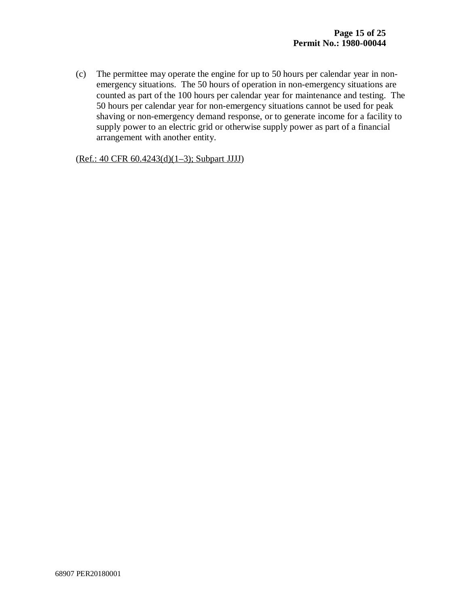(c) The permittee may operate the engine for up to 50 hours per calendar year in nonemergency situations. The 50 hours of operation in non-emergency situations are counted as part of the 100 hours per calendar year for maintenance and testing. The 50 hours per calendar year for non-emergency situations cannot be used for peak shaving or non-emergency demand response, or to generate income for a facility to supply power to an electric grid or otherwise supply power as part of a financial arrangement with another entity.

(Ref.: 40 CFR 60.4243(d)(1–3); Subpart JJJJ)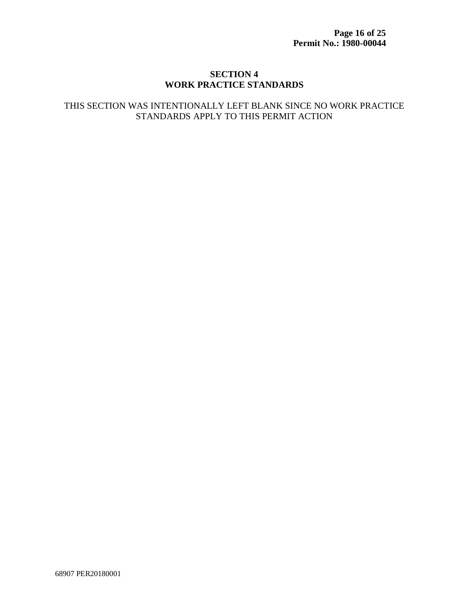## **SECTION 4 WORK PRACTICE STANDARDS**

# THIS SECTION WAS INTENTIONALLY LEFT BLANK SINCE NO WORK PRACTICE STANDARDS APPLY TO THIS PERMIT ACTION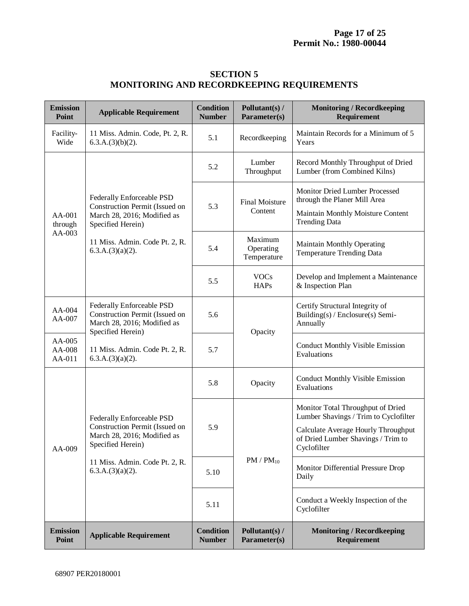| <b>SECTION 5</b>                                 |
|--------------------------------------------------|
| <b>MONITORING AND RECORDKEEPING REQUIREMENTS</b> |

| <b>Emission</b><br>Point    | <b>Applicable Requirement</b>                                                                                                                                         | <b>Condition</b><br><b>Number</b> | Pollutant(s) /<br>Parameter(s)      | <b>Monitoring / Recordkeeping</b><br>Requirement                                                                                                                       |
|-----------------------------|-----------------------------------------------------------------------------------------------------------------------------------------------------------------------|-----------------------------------|-------------------------------------|------------------------------------------------------------------------------------------------------------------------------------------------------------------------|
| Facility-<br>Wide           | 11 Miss. Admin. Code, Pt. 2, R.<br>6.3.A.(3)(b)(2).                                                                                                                   | 5.1                               | Recordkeeping                       | Maintain Records for a Minimum of 5<br>Years                                                                                                                           |
| AA-001<br>through<br>AA-003 | Federally Enforceable PSD<br>Construction Permit (Issued on<br>March 28, 2016; Modified as<br>Specified Herein)                                                       | 5.2                               | Lumber<br>Throughput                | Record Monthly Throughput of Dried<br>Lumber (from Combined Kilns)                                                                                                     |
|                             |                                                                                                                                                                       | 5.3                               | <b>Final Moisture</b><br>Content    | <b>Monitor Dried Lumber Processed</b><br>through the Planer Mill Area<br>Maintain Monthly Moisture Content<br><b>Trending Data</b>                                     |
|                             | 11 Miss. Admin. Code Pt. 2, R.<br>6.3.A.(3)(a)(2).                                                                                                                    | 5.4                               | Maximum<br>Operating<br>Temperature | <b>Maintain Monthly Operating</b><br>Temperature Trending Data                                                                                                         |
|                             |                                                                                                                                                                       | 5.5                               | <b>VOCs</b><br><b>HAPs</b>          | Develop and Implement a Maintenance<br>& Inspection Plan                                                                                                               |
| AA-004<br>AA-007            | Federally Enforceable PSD<br>Construction Permit (Issued on<br>March 28, 2016; Modified as<br>Specified Herein)<br>11 Miss. Admin. Code Pt. 2, R.<br>6.3.A.(3)(a)(2). | 5.6                               | Opacity                             | Certify Structural Integrity of<br>Building(s) / Enclosure(s) Semi-<br>Annually                                                                                        |
| AA-005<br>AA-008<br>AA-011  |                                                                                                                                                                       | 5.7                               |                                     | <b>Conduct Monthly Visible Emission</b><br>Evaluations                                                                                                                 |
| AA-009                      | Federally Enforceable PSD<br>Construction Permit (Issued on<br>March 28, 2016; Modified as<br>Specified Herein)<br>11 Miss. Admin. Code Pt. 2, R.<br>6.3.A.(3)(a)(2). | 5.8                               | Opacity                             | <b>Conduct Monthly Visible Emission</b><br>Evaluations                                                                                                                 |
|                             |                                                                                                                                                                       | 5.9                               | $PM / PM_{10}$                      | Monitor Total Throughput of Dried<br>Lumber Shavings / Trim to Cyclofilter<br>Calculate Average Hourly Throughput<br>of Dried Lumber Shavings / Trim to<br>Cyclofilter |
|                             |                                                                                                                                                                       | 5.10                              |                                     | Monitor Differential Pressure Drop<br>Daily                                                                                                                            |
|                             |                                                                                                                                                                       | 5.11                              |                                     | Conduct a Weekly Inspection of the<br>Cyclofilter                                                                                                                      |
| <b>Emission</b><br>Point    | <b>Applicable Requirement</b>                                                                                                                                         | <b>Condition</b><br><b>Number</b> | Pollutant(s) /<br>Parameter(s)      | <b>Monitoring / Recordkeeping</b><br>Requirement                                                                                                                       |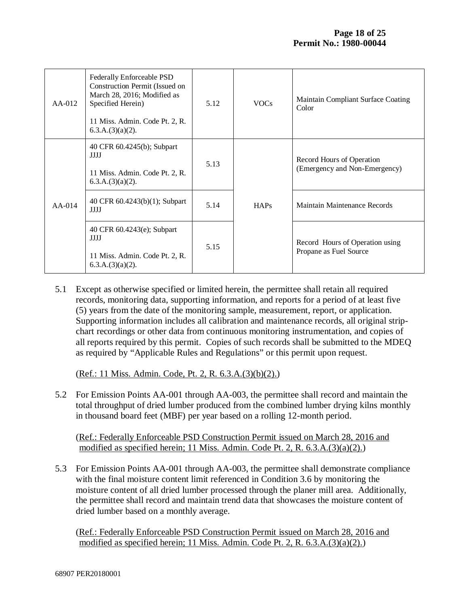| $AA-012$ | Federally Enforceable PSD<br>Construction Permit (Issued on<br>March 28, 2016; Modified as<br>Specified Herein)<br>11 Miss. Admin. Code Pt. 2, R.<br>6.3.A.(3)(a)(2). | 5.12 | <b>VOCs</b> | Maintain Compliant Surface Coating<br>Color                |
|----------|-----------------------------------------------------------------------------------------------------------------------------------------------------------------------|------|-------------|------------------------------------------------------------|
| $AA-014$ | 40 CFR 60.4245(b); Subpart<br>JJJJ<br>11 Miss. Admin. Code Pt. 2, R.<br>6.3.A.(3)(a)(2).                                                                              | 5.13 | HAPs        | Record Hours of Operation<br>(Emergency and Non-Emergency) |
|          | 40 CFR 60.4243(b)(1); Subpart<br>JJJJ                                                                                                                                 | 5.14 |             | Maintain Maintenance Records                               |
|          | 40 CFR 60.4243(e); Subpart<br>JJJJ<br>11 Miss. Admin. Code Pt. 2, R.<br>6.3.A.(3)(a)(2).                                                                              | 5.15 |             | Record Hours of Operation using<br>Propane as Fuel Source  |

5.1 Except as otherwise specified or limited herein, the permittee shall retain all required records, monitoring data, supporting information, and reports for a period of at least five (5) years from the date of the monitoring sample, measurement, report, or application. Supporting information includes all calibration and maintenance records, all original stripchart recordings or other data from continuous monitoring instrumentation, and copies of all reports required by this permit. Copies of such records shall be submitted to the MDEQ as required by "Applicable Rules and Regulations" or this permit upon request.

(Ref.: 11 Miss. Admin. Code, Pt. 2, R. 6.3.A.(3)(b)(2).)

5.2 For Emission Points AA-001 through AA-003, the permittee shall record and maintain the total throughput of dried lumber produced from the combined lumber drying kilns monthly in thousand board feet (MBF) per year based on a rolling 12-month period.

(Ref.: Federally Enforceable PSD Construction Permit issued on March 28, 2016 and modified as specified herein; 11 Miss. Admin. Code Pt. 2, R. 6.3.A.(3)(a)(2).)

5.3 For Emission Points AA-001 through AA-003, the permittee shall demonstrate compliance with the final moisture content limit referenced in Condition 3.6 by monitoring the moisture content of all dried lumber processed through the planer mill area. Additionally, the permittee shall record and maintain trend data that showcases the moisture content of dried lumber based on a monthly average.

(Ref.: Federally Enforceable PSD Construction Permit issued on March 28, 2016 and modified as specified herein; 11 Miss. Admin. Code Pt. 2, R. 6.3.A.(3)(a)(2).)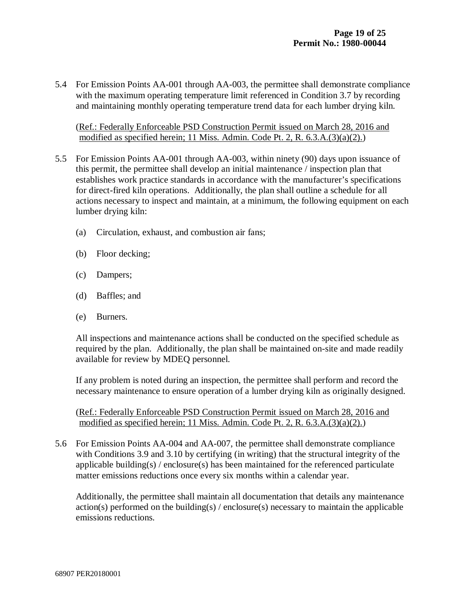5.4 For Emission Points AA-001 through AA-003, the permittee shall demonstrate compliance with the maximum operating temperature limit referenced in Condition 3.7 by recording and maintaining monthly operating temperature trend data for each lumber drying kiln.

(Ref.: Federally Enforceable PSD Construction Permit issued on March 28, 2016 and modified as specified herein; 11 Miss. Admin. Code Pt. 2, R. 6.3.A.(3)(a)(2).)

- 5.5 For Emission Points AA-001 through AA-003, within ninety (90) days upon issuance of this permit, the permittee shall develop an initial maintenance / inspection plan that establishes work practice standards in accordance with the manufacturer's specifications for direct-fired kiln operations. Additionally, the plan shall outline a schedule for all actions necessary to inspect and maintain, at a minimum, the following equipment on each lumber drying kiln:
	- (a) Circulation, exhaust, and combustion air fans;
	- (b) Floor decking;
	- (c) Dampers;
	- (d) Baffles; and
	- (e) Burners.

All inspections and maintenance actions shall be conducted on the specified schedule as required by the plan. Additionally, the plan shall be maintained on-site and made readily available for review by MDEQ personnel.

If any problem is noted during an inspection, the permittee shall perform and record the necessary maintenance to ensure operation of a lumber drying kiln as originally designed.

(Ref.: Federally Enforceable PSD Construction Permit issued on March 28, 2016 and modified as specified herein; 11 Miss. Admin. Code Pt. 2, R. 6.3.A.(3)(a)(2).)

5.6 For Emission Points AA-004 and AA-007, the permittee shall demonstrate compliance with Conditions 3.9 and 3.10 by certifying (in writing) that the structural integrity of the applicable building(s) / enclosure(s) has been maintained for the referenced particulate matter emissions reductions once every six months within a calendar year.

Additionally, the permittee shall maintain all documentation that details any maintenance  $action(s)$  performed on the building(s) / enclosure(s) necessary to maintain the applicable emissions reductions.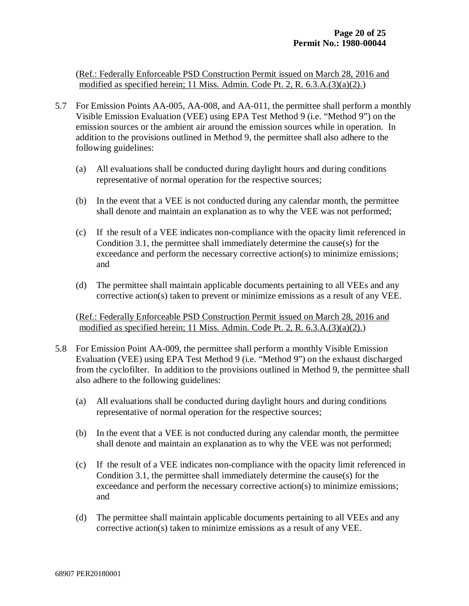(Ref.: Federally Enforceable PSD Construction Permit issued on March 28, 2016 and modified as specified herein; 11 Miss. Admin. Code Pt. 2, R. 6.3.A.(3)(a)(2).)

- 5.7 For Emission Points AA-005, AA-008, and AA-011, the permittee shall perform a monthly Visible Emission Evaluation (VEE) using EPA Test Method 9 (i.e. "Method 9") on the emission sources or the ambient air around the emission sources while in operation. In addition to the provisions outlined in Method 9, the permittee shall also adhere to the following guidelines:
	- (a) All evaluations shall be conducted during daylight hours and during conditions representative of normal operation for the respective sources;
	- (b) In the event that a VEE is not conducted during any calendar month, the permittee shall denote and maintain an explanation as to why the VEE was not performed;
	- (c) If the result of a VEE indicates non-compliance with the opacity limit referenced in Condition 3.1, the permittee shall immediately determine the cause(s) for the exceedance and perform the necessary corrective action(s) to minimize emissions; and
	- (d) The permittee shall maintain applicable documents pertaining to all VEEs and any corrective action(s) taken to prevent or minimize emissions as a result of any VEE.

(Ref.: Federally Enforceable PSD Construction Permit issued on March 28, 2016 and modified as specified herein; 11 Miss. Admin. Code Pt. 2, R. 6.3.A.(3)(a)(2).)

- 5.8 For Emission Point AA-009, the permittee shall perform a monthly Visible Emission Evaluation (VEE) using EPA Test Method 9 (i.e. "Method 9") on the exhaust discharged from the cyclofilter. In addition to the provisions outlined in Method 9, the permittee shall also adhere to the following guidelines:
	- (a) All evaluations shall be conducted during daylight hours and during conditions representative of normal operation for the respective sources;
	- (b) In the event that a VEE is not conducted during any calendar month, the permittee shall denote and maintain an explanation as to why the VEE was not performed;
	- (c) If the result of a VEE indicates non-compliance with the opacity limit referenced in Condition 3.1, the permittee shall immediately determine the cause(s) for the exceedance and perform the necessary corrective action(s) to minimize emissions; and
	- (d) The permittee shall maintain applicable documents pertaining to all VEEs and any corrective action(s) taken to minimize emissions as a result of any VEE.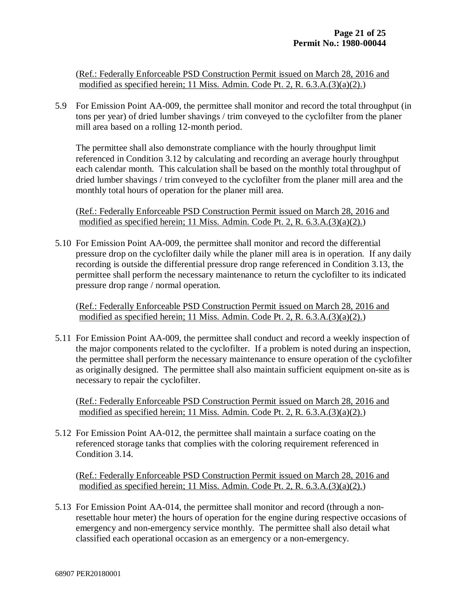(Ref.: Federally Enforceable PSD Construction Permit issued on March 28, 2016 and modified as specified herein; 11 Miss. Admin. Code Pt. 2, R. 6.3.A.(3)(a)(2).)

5.9 For Emission Point AA-009, the permittee shall monitor and record the total throughput (in tons per year) of dried lumber shavings / trim conveyed to the cyclofilter from the planer mill area based on a rolling 12-month period.

The permittee shall also demonstrate compliance with the hourly throughput limit referenced in Condition 3.12 by calculating and recording an average hourly throughput each calendar month. This calculation shall be based on the monthly total throughput of dried lumber shavings / trim conveyed to the cyclofilter from the planer mill area and the monthly total hours of operation for the planer mill area.

(Ref.: Federally Enforceable PSD Construction Permit issued on March 28, 2016 and modified as specified herein; 11 Miss. Admin. Code Pt. 2, R. 6.3.A.(3)(a)(2).)

5.10 For Emission Point AA-009, the permittee shall monitor and record the differential pressure drop on the cyclofilter daily while the planer mill area is in operation. If any daily recording is outside the differential pressure drop range referenced in Condition 3.13, the permittee shall perform the necessary maintenance to return the cyclofilter to its indicated pressure drop range / normal operation.

(Ref.: Federally Enforceable PSD Construction Permit issued on March 28, 2016 and modified as specified herein; 11 Miss. Admin. Code Pt. 2, R. 6.3.A.(3)(a)(2).)

5.11 For Emission Point AA-009, the permittee shall conduct and record a weekly inspection of the major components related to the cyclofilter. If a problem is noted during an inspection, the permittee shall perform the necessary maintenance to ensure operation of the cyclofilter as originally designed. The permittee shall also maintain sufficient equipment on-site as is necessary to repair the cyclofilter.

(Ref.: Federally Enforceable PSD Construction Permit issued on March 28, 2016 and modified as specified herein; 11 Miss. Admin. Code Pt. 2, R. 6.3.A.(3)(a)(2).)

5.12 For Emission Point AA-012, the permittee shall maintain a surface coating on the referenced storage tanks that complies with the coloring requirement referenced in Condition 3.14.

(Ref.: Federally Enforceable PSD Construction Permit issued on March 28, 2016 and modified as specified herein; 11 Miss. Admin. Code Pt. 2, R. 6.3.A.(3)(a)(2).)

5.13 For Emission Point AA-014, the permittee shall monitor and record (through a nonresettable hour meter) the hours of operation for the engine during respective occasions of emergency and non-emergency service monthly. The permittee shall also detail what classified each operational occasion as an emergency or a non-emergency.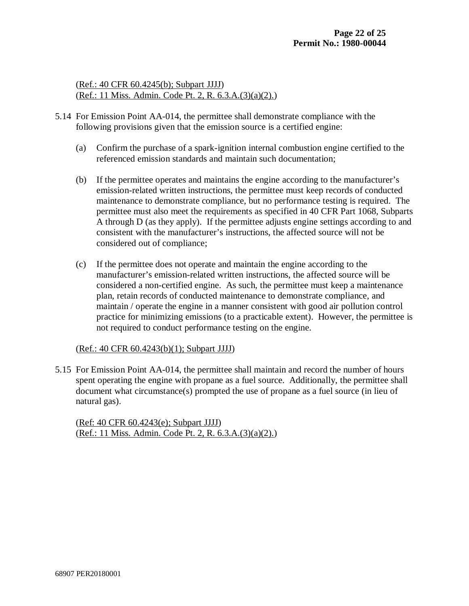(Ref.: 40 CFR 60.4245(b); Subpart JJJJ) (Ref.: 11 Miss. Admin. Code Pt. 2, R. 6.3.A.(3)(a)(2).)

- 5.14 For Emission Point AA-014, the permittee shall demonstrate compliance with the following provisions given that the emission source is a certified engine:
	- (a) Confirm the purchase of a spark-ignition internal combustion engine certified to the referenced emission standards and maintain such documentation;
	- (b) If the permittee operates and maintains the engine according to the manufacturer's emission-related written instructions, the permittee must keep records of conducted maintenance to demonstrate compliance, but no performance testing is required. The permittee must also meet the requirements as specified in 40 CFR Part 1068, Subparts A through D (as they apply). If the permittee adjusts engine settings according to and consistent with the manufacturer's instructions, the affected source will not be considered out of compliance;
	- (c) If the permittee does not operate and maintain the engine according to the manufacturer's emission-related written instructions, the affected source will be considered a non-certified engine. As such, the permittee must keep a maintenance plan, retain records of conducted maintenance to demonstrate compliance, and maintain / operate the engine in a manner consistent with good air pollution control practice for minimizing emissions (to a practicable extent). However, the permittee is not required to conduct performance testing on the engine.

(Ref.: 40 CFR 60.4243(b)(1); Subpart JJJJ)

5.15 For Emission Point AA-014, the permittee shall maintain and record the number of hours spent operating the engine with propane as a fuel source. Additionally, the permittee shall document what circumstance(s) prompted the use of propane as a fuel source (in lieu of natural gas).

(Ref: 40 CFR 60.4243(e); Subpart JJJJ) (Ref.: 11 Miss. Admin. Code Pt. 2, R. 6.3.A.(3)(a)(2).)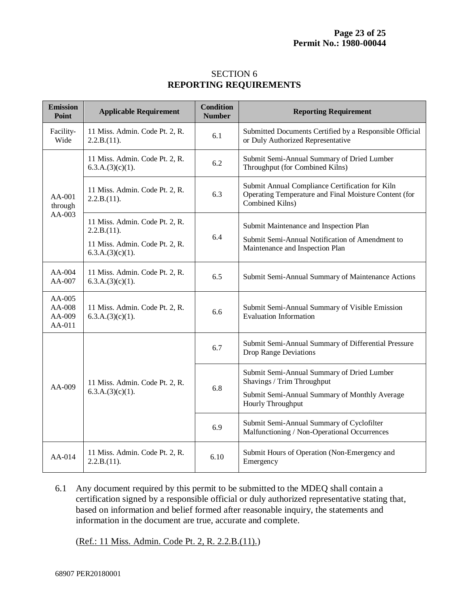| <b>SECTION 6</b>              |
|-------------------------------|
| <b>REPORTING REQUIREMENTS</b> |

| <b>Emission</b><br><b>Point</b>      | <b>Applicable Requirement</b>                      | <b>Condition</b><br><b>Number</b> | <b>Reporting Requirement</b>                                                                                                |
|--------------------------------------|----------------------------------------------------|-----------------------------------|-----------------------------------------------------------------------------------------------------------------------------|
| Facility-<br>Wide                    | 11 Miss. Admin. Code Pt. 2, R.<br>2.2.B.(11).      | 6.1                               | Submitted Documents Certified by a Responsible Official<br>or Duly Authorized Representative                                |
| $AA-001$<br>through<br>AA-003        | 11 Miss. Admin. Code Pt. 2, R.<br>6.3.A.(3)(c)(1). | 6.2                               | Submit Semi-Annual Summary of Dried Lumber<br>Throughput (for Combined Kilns)                                               |
|                                      | 11 Miss. Admin. Code Pt. 2, R.<br>2.2.B.(11).      | 6.3                               | Submit Annual Compliance Certification for Kiln<br>Operating Temperature and Final Moisture Content (for<br>Combined Kilns) |
|                                      | 11 Miss. Admin. Code Pt. 2, R.<br>2.2.B.(11).      |                                   | Submit Maintenance and Inspection Plan                                                                                      |
|                                      | 11 Miss. Admin. Code Pt. 2, R.<br>6.3.A.(3)(c)(1). | 6.4                               | Submit Semi-Annual Notification of Amendment to<br>Maintenance and Inspection Plan                                          |
| AA-004<br>AA-007                     | 11 Miss. Admin. Code Pt. 2, R.<br>6.3.A.(3)(c)(1). | 6.5                               | Submit Semi-Annual Summary of Maintenance Actions                                                                           |
| AA-005<br>AA-008<br>AA-009<br>AA-011 | 11 Miss. Admin. Code Pt. 2, R.<br>6.3.A.(3)(c)(1). | 6.6                               | Submit Semi-Annual Summary of Visible Emission<br><b>Evaluation Information</b>                                             |
| $AA-009$                             | 11 Miss. Admin. Code Pt. 2, R.<br>6.3.A.(3)(c)(1). | 6.7                               | Submit Semi-Annual Summary of Differential Pressure<br><b>Drop Range Deviations</b>                                         |
|                                      |                                                    | 6.8                               | Submit Semi-Annual Summary of Dried Lumber<br>Shavings / Trim Throughput                                                    |
|                                      |                                                    |                                   | Submit Semi-Annual Summary of Monthly Average<br>Hourly Throughput                                                          |
|                                      |                                                    | 6.9                               | Submit Semi-Annual Summary of Cyclofilter<br>Malfunctioning / Non-Operational Occurrences                                   |
| AA-014                               | 11 Miss. Admin. Code Pt. 2, R.<br>2.2.B.(11).      | 6.10                              | Submit Hours of Operation (Non-Emergency and<br>Emergency                                                                   |

6.1 Any document required by this permit to be submitted to the MDEQ shall contain a certification signed by a responsible official or duly authorized representative stating that, based on information and belief formed after reasonable inquiry, the statements and information in the document are true, accurate and complete.

(Ref.: 11 Miss. Admin. Code Pt. 2, R. 2.2.B.(11).)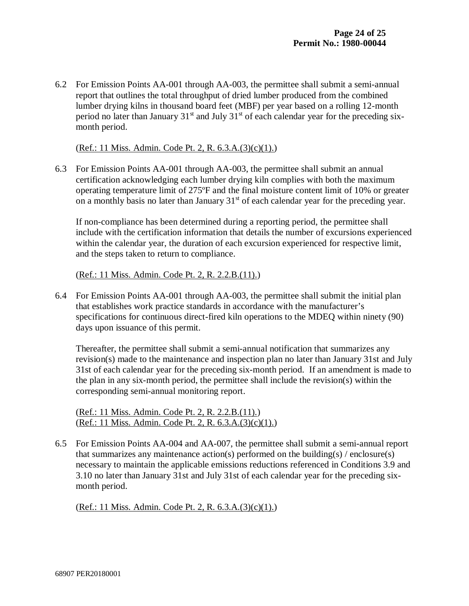6.2 For Emission Points AA-001 through AA-003, the permittee shall submit a semi-annual report that outlines the total throughput of dried lumber produced from the combined lumber drying kilns in thousand board feet (MBF) per year based on a rolling 12-month period no later than January  $31<sup>st</sup>$  and July  $31<sup>st</sup>$  of each calendar year for the preceding sixmonth period.

(Ref.: 11 Miss. Admin. Code Pt. 2, R. 6.3.A.(3)(c)(1).)

6.3 For Emission Points AA-001 through AA-003, the permittee shall submit an annual certification acknowledging each lumber drying kiln complies with both the maximum operating temperature limit of 275ºF and the final moisture content limit of 10% or greater on a monthly basis no later than January  $31<sup>st</sup>$  of each calendar year for the preceding year.

If non-compliance has been determined during a reporting period, the permittee shall include with the certification information that details the number of excursions experienced within the calendar year, the duration of each excursion experienced for respective limit, and the steps taken to return to compliance.

(Ref.: 11 Miss. Admin. Code Pt. 2, R. 2.2.B.(11).)

6.4 For Emission Points AA-001 through AA-003, the permittee shall submit the initial plan that establishes work practice standards in accordance with the manufacturer's specifications for continuous direct-fired kiln operations to the MDEQ within ninety (90) days upon issuance of this permit.

Thereafter, the permittee shall submit a semi-annual notification that summarizes any revision(s) made to the maintenance and inspection plan no later than January 31st and July 31st of each calendar year for the preceding six-month period. If an amendment is made to the plan in any six-month period, the permittee shall include the revision(s) within the corresponding semi-annual monitoring report.

(Ref.: 11 Miss. Admin. Code Pt. 2, R. 2.2.B.(11).) (Ref.: 11 Miss. Admin. Code Pt. 2, R. 6.3.A.(3)(c)(1).)

6.5 For Emission Points AA-004 and AA-007, the permittee shall submit a semi-annual report that summarizes any maintenance action(s) performed on the building(s) / enclosure(s) necessary to maintain the applicable emissions reductions referenced in Conditions 3.9 and 3.10 no later than January 31st and July 31st of each calendar year for the preceding sixmonth period.

(Ref.: 11 Miss. Admin. Code Pt. 2, R. 6.3.A.(3)(c)(1).)